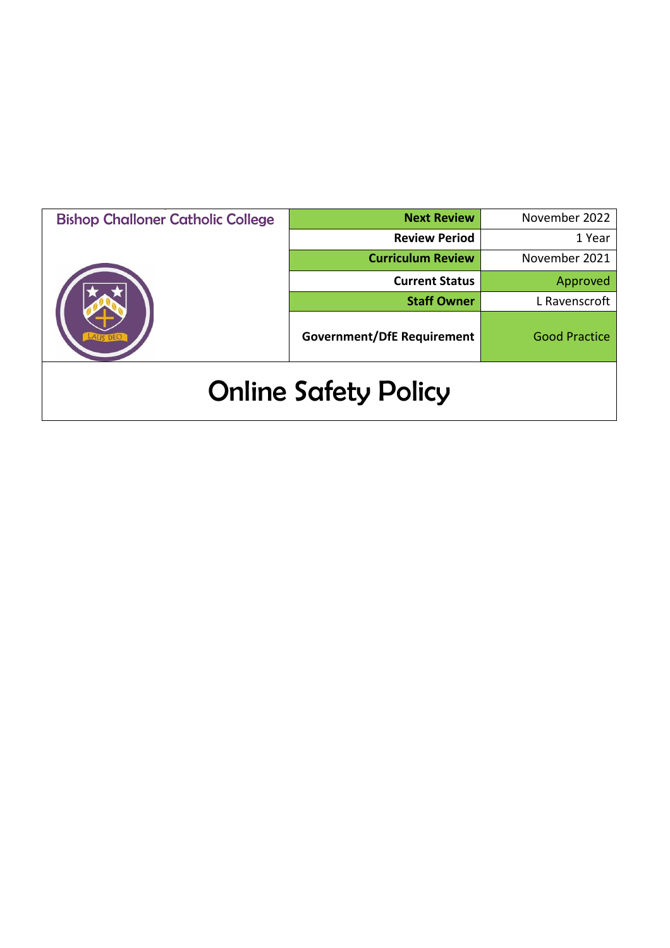| <b>Bishop Challoner Catholic College</b> | <b>Next Review</b>                | November 2022        |
|------------------------------------------|-----------------------------------|----------------------|
|                                          | <b>Review Period</b>              | 1 Year               |
|                                          | <b>Curriculum Review</b>          | November 2021        |
|                                          | <b>Current Status</b>             | Approved             |
|                                          | <b>Staff Owner</b>                | L Ravenscroft        |
|                                          | <b>Government/DfE Requirement</b> | <b>Good Practice</b> |
| <b>Online Safety Policy</b>              |                                   |                      |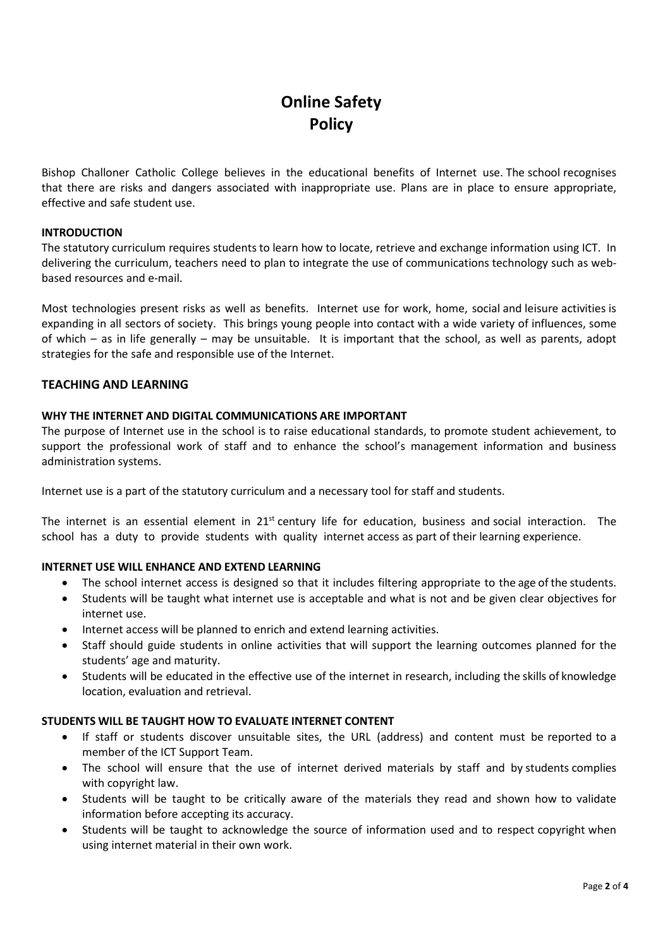# **Online Safety Policy**

Bishop Challoner Catholic College believes in the educational benefits of Internet use. The school recognises that there are risks and dangers associated with inappropriate use. Plans are in place to ensure appropriate, effective and safe student use.

# **INTRODUCTION**

The statutory curriculum requires students to learn how to locate, retrieve and exchange information using ICT. In delivering the curriculum, teachers need to plan to integrate the use of communications technology such as webbased resources and e-mail.

Most technologies present risks as well as benefits. Internet use for work, home, social and leisure activities is expanding in all sectors of society. This brings young people into contact with a wide variety of influences, some of which – as in life generally – may be unsuitable. It is important that the school, as well as parents, adopt strategies for the safe and responsible use of the Internet.

# **TEACHING AND LEARNING**

# **WHY THE INTERNET AND DIGITAL COMMUNICATIONS ARE IMPORTANT**

The purpose of Internet use in the school is to raise educational standards, to promote student achievement, to support the professional work of staff and to enhance the school's management information and business administration systems.

Internet use is a part of the statutory curriculum and a necessary tool for staff and students.

The internet is an essential element in  $21^{st}$  century life for education, business and social interaction. The school has a duty to provide students with quality internet access as part of their learning experience.

# **INTERNET USE WILL ENHANCE AND EXTEND LEARNING**

- The school internet access is designed so that it includes filtering appropriate to the age of the students.
- Students will be taught what internet use is acceptable and what is not and be given clear objectives for internet use.
- Internet access will be planned to enrich and extend learning activities.
- Staff should guide students in online activities that will support the learning outcomes planned for the students' age and maturity.
- Students will be educated in the effective use of the internet in research, including the skills of knowledge location, evaluation and retrieval.

# **STUDENTS WILL BE TAUGHT HOW TO EVALUATE INTERNET CONTENT**

- If staff or students discover unsuitable sites, the URL (address) and content must be reported to a member of the ICT Support Team.
- The school will ensure that the use of internet derived materials by staff and by students complies with copyright law.
- Students will be taught to be critically aware of the materials they read and shown how to validate information before accepting its accuracy.
- Students will be taught to acknowledge the source of information used and to respect copyright when using internet material in their own work.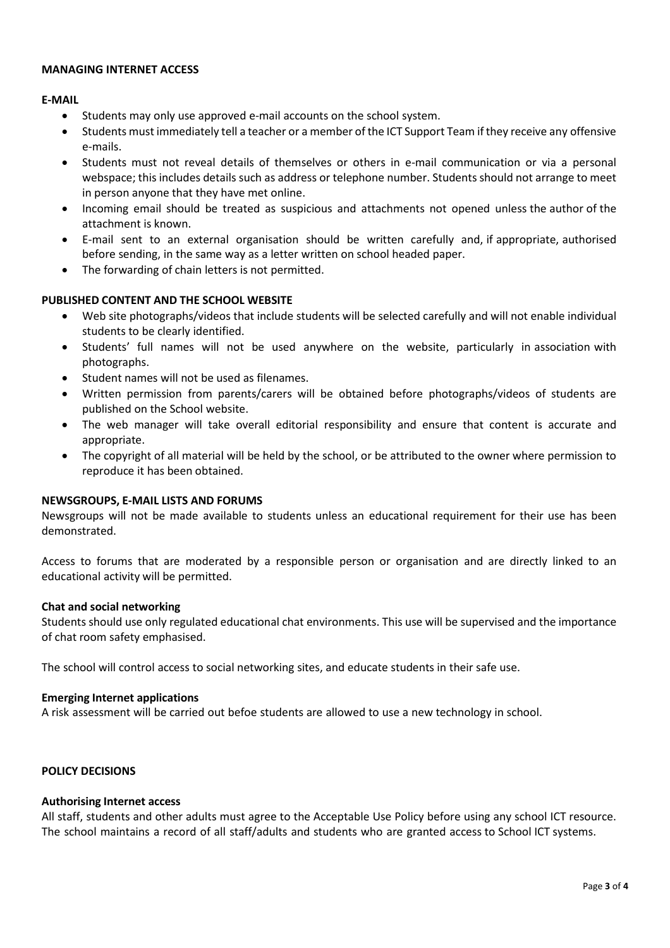# **MANAGING INTERNET ACCESS**

# **E-MAIL**

- Students may only use approved e-mail accounts on the school system.
- Students must immediately tell a teacher or a member of the ICT Support Team if they receive any offensive e-mails.
- Students must not reveal details of themselves or others in e-mail communication or via a personal webspace; this includes details such as address or telephone number. Students should not arrange to meet in person anyone that they have met online.
- Incoming email should be treated as suspicious and attachments not opened unless the author of the attachment is known.
- E-mail sent to an external organisation should be written carefully and, if appropriate, authorised before sending, in the same way as a letter written on school headed paper.
- The forwarding of chain letters is not permitted.

# **PUBLISHED CONTENT AND THE SCHOOL WEBSITE**

- Web site photographs/videos that include students will be selected carefully and will not enable individual students to be clearly identified.
- Students' full names will not be used anywhere on the website, particularly in association with photographs.
- Student names will not be used as filenames.
- Written permission from parents/carers will be obtained before photographs/videos of students are published on the School website.
- The web manager will take overall editorial responsibility and ensure that content is accurate and appropriate.
- The copyright of all material will be held by the school, or be attributed to the owner where permission to reproduce it has been obtained.

# **NEWSGROUPS, E-MAIL LISTS AND FORUMS**

Newsgroups will not be made available to students unless an educational requirement for their use has been demonstrated.

Access to forums that are moderated by a responsible person or organisation and are directly linked to an educational activity will be permitted.

## **Chat and social networking**

Students should use only regulated educational chat environments. This use will be supervised and the importance of chat room safety emphasised.

The school will control access to social networking sites, and educate students in their safe use.

## **Emerging Internet applications**

A risk assessment will be carried out befoe students are allowed to use a new technology in school.

# **POLICY DECISIONS**

## **Authorising Internet access**

All staff, students and other adults must agree to the Acceptable Use Policy before using any school ICT resource. The school maintains a record of all staff/adults and students who are granted access to School ICT systems.